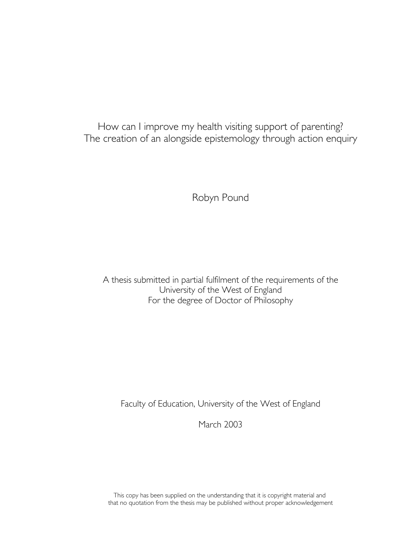How can I improve my health visiting support of parenting? The creation of an alongside epistemology through action enquiry

Robyn Pound

A thesis submitted in partial fulfilment of the requirements of the University of the West of England For the degree of Doctor of Philosophy

Faculty of Education, University of the West of England

March 2003

This copy has been supplied on the understanding that it is copyright material and that no quotation from the thesis may be published without proper acknowledgement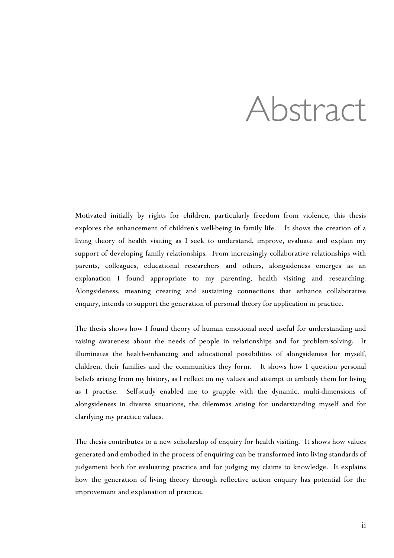## Abstract

Motivated initially by rights for children, particularly freedom from violence, this thesis explores the enhancement of children's well-being in family life. It shows the creation of a living theory of health visiting as I seek to understand, improve, evaluate and explain my support of developing family relationships. From increasingly collaborative relationships with parents, colleagues, educational researchers and others, alongsideness emerges as an explanation I found appropriate to my parenting, health visiting and researching. Alongsideness, meaning creating and sustaining connections that enhance collaborative enquiry, intends to support the generation of personal theory for application in practice.

The thesis shows how I found theory of human emotional need useful for understanding and raising awareness about the needs of people in relationships and for problem-solving. It illuminates the health-enhancing and educational possibilities of alongsideness for myself, children, their families and the communities they form. It shows how I question personal beliefs arising from my history, as I reflect on my values and attempt to embody them for living as I practise. Self-study enabled me to grapple with the dynamic, multi-dimensions of alongsideness in diverse situations, the dilemmas arising for understanding myself and for clarifying my practice values.

The thesis contributes to a new scholarship of enquiry for health visiting. It shows how values generated and embodied in the process of enquiring can be transformed into living standards of judgement both for evaluating practice and for judging my claims to knowledge. It explains how the generation of living theory through reflective action enquiry has potential for the improvement and explanation of practice.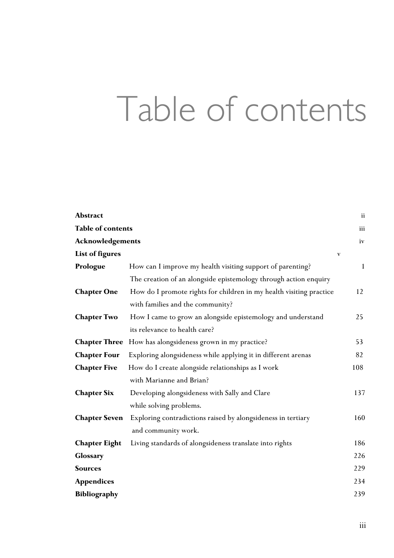## Table of contents

| <b>Abstract</b>          |                                                                     | ii           |
|--------------------------|---------------------------------------------------------------------|--------------|
| <b>Table of contents</b> |                                                                     | iii          |
| <b>Acknowledgements</b>  |                                                                     | iv           |
| <b>List of figures</b>   | $\mathbf{V}$                                                        |              |
| Prologue                 | How can I improve my health visiting support of parenting?          | $\mathbf{1}$ |
|                          | The creation of an alongside epistemology through action enquiry    |              |
| <b>Chapter One</b>       | How do I promote rights for children in my health visiting practice | 12           |
|                          | with families and the community?                                    |              |
| <b>Chapter Two</b>       | How I came to grow an alongside epistemology and understand         | 25           |
|                          | its relevance to health care?                                       |              |
|                          | <b>Chapter Three</b> How has alongsideness grown in my practice?    | 53           |
| <b>Chapter Four</b>      | Exploring alongsideness while applying it in different arenas       | 82           |
| <b>Chapter Five</b>      | How do I create alongside relationships as I work                   | 108          |
|                          | with Marianne and Brian?                                            |              |
| <b>Chapter Six</b>       | Developing alongsideness with Sally and Clare                       | 137          |
|                          | while solving problems.                                             |              |
| <b>Chapter Seven</b>     | Exploring contradictions raised by alongsideness in tertiary        | 160          |
|                          | and community work.                                                 |              |
| <b>Chapter Eight</b>     | Living standards of alongsideness translate into rights             | 186          |
| Glossary                 |                                                                     | 226          |
| <b>Sources</b>           |                                                                     | 229          |
| <b>Appendices</b>        |                                                                     | 234          |
| <b>Bibliography</b>      |                                                                     | 239          |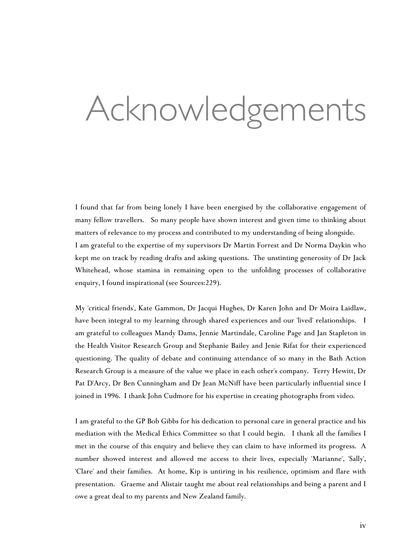## Acknowledgements

I found that far from being lonely I have been energised by the collaborative engagement of many fellow travellers. So many people have shown interest and given time to thinking about matters of relevance to my process and contributed to my understanding of being alongside. I am grateful to the expertise of my supervisors Dr Martin Forrest and Dr Norma Daykin who kept me on track by reading drafts and asking questions. The unstinting generosity of Dr Jack Whitehead, whose stamina in remaining open to the unfolding processes of collaborative enquiry, I found inspirational (see Sources:229).

My 'critical friends', Kate Gammon, Dr Jacqui Hughes, Dr Karen John and Dr Moira Laidlaw, have been integral to my learning through shared experiences and our 'lived' relationships. I am grateful to colleagues Mandy Dams, Jennie Martindale, Caroline Page and Jan Stapleton in the Health Visitor Research Group and Stephanie Bailey and Jenie Rifat for their experienced questioning. The quality of debate and continuing attendance of so many in the Bath Action Research Group is a measure of the value we place in each other's company. Terry Hewitt, Dr Pat D'Arcy, Dr Ben Cunningham and Dr Jean McNiff have been particularly influential since I joined in 1996. I thank John Cudmore for his expertise in creating photographs from video.

I am grateful to the GP Bob Gibbs for his dedication to personal care in general practice and his mediation with the Medical Ethics Committee so that I could begin. I thank all the families I met in the course of this enquiry and believe they can claim to have informed its progress. A number showed interest and allowed me access to their lives, especially 'Marianne', 'Sally', 'Clare' and their families. At home, Kip is untiring in his resilience, optimism and flare with presentation. Graeme and Alistair taught me about real relationships and being a parent and I owe a great deal to my parents and New Zealand family.